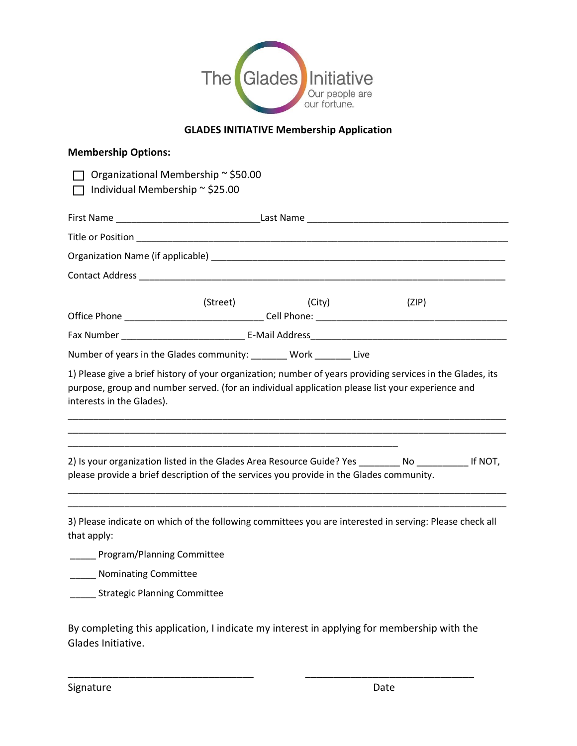

## **GLADES INITIATIVE Membership Application**

| <b>Membership Options:</b>                                                                                                                                                                                                                  |                                     |        |  |       |  |
|---------------------------------------------------------------------------------------------------------------------------------------------------------------------------------------------------------------------------------------------|-------------------------------------|--------|--|-------|--|
| Individual Membership ~ \$25.00                                                                                                                                                                                                             | Organizational Membership ~ \$50.00 |        |  |       |  |
|                                                                                                                                                                                                                                             |                                     |        |  |       |  |
|                                                                                                                                                                                                                                             |                                     |        |  |       |  |
|                                                                                                                                                                                                                                             |                                     |        |  |       |  |
|                                                                                                                                                                                                                                             |                                     |        |  |       |  |
|                                                                                                                                                                                                                                             | (Street)                            | (City) |  | (ZIP) |  |
|                                                                                                                                                                                                                                             |                                     |        |  |       |  |
| Number of years in the Glades community: _______ Work _______ Live                                                                                                                                                                          |                                     |        |  |       |  |
| 1) Please give a brief history of your organization; number of years providing services in the Glades, its<br>purpose, group and number served. (for an individual application please list your experience and<br>interests in the Glades). |                                     |        |  |       |  |
| 2) Is your organization listed in the Glades Area Resource Guide? Yes No No Resource 16 NOT,<br>please provide a brief description of the services you provide in the Glades community.                                                     |                                     |        |  |       |  |
| 3) Please indicate on which of the following committees you are interested in serving: Please check all<br>that apply:                                                                                                                      |                                     |        |  |       |  |
| Program/Planning Committee                                                                                                                                                                                                                  |                                     |        |  |       |  |
| Nominating Committee                                                                                                                                                                                                                        |                                     |        |  |       |  |
| <b>Strategic Planning Committee</b>                                                                                                                                                                                                         |                                     |        |  |       |  |

By completing this application, I indicate my interest in applying for membership with the Glades Initiative.

\_\_\_\_\_\_\_\_\_\_\_\_\_\_\_\_\_\_\_\_\_\_\_\_\_\_\_\_\_\_\_\_\_ \_\_\_\_\_\_\_\_\_\_\_\_\_\_\_\_\_\_\_\_\_\_\_\_\_\_\_\_\_\_